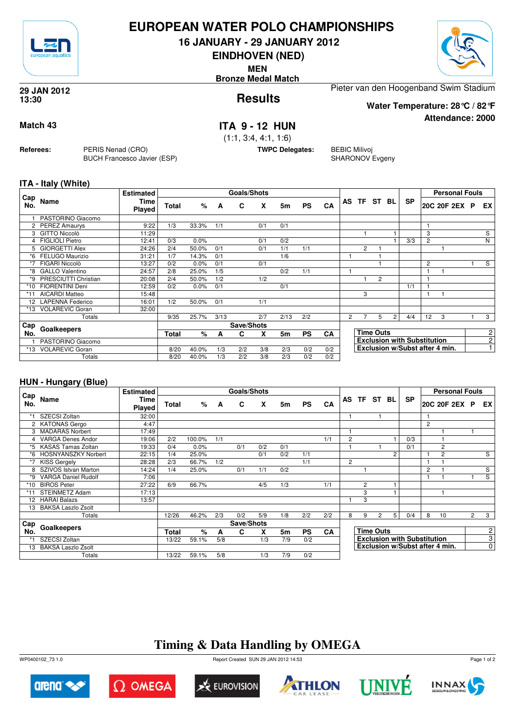

## **EUROPEAN WATER POLO CHAMPIONSHIPS**

**16 JANUARY - 29 JANUARY 2012**

**EINDHOVEN (NED)**

**MEN**

**Bronze Medal Match**



**Attendance: 2000**

**Results 29 JAN 2012 13:30**

Pieter van den Hoogenband Swim Stadium

**Water Temperature: 28°C / 82°F**

### **Match 43 ITA 9 - 12 HUN**

(1:1, 3:4, 4:1, 1:6)

**TWPC Delegates:** BEBIC Milivoj

SHARONOV Evgeny

### **ITA - Italy (White)**

**Referees:** PERIS Nenad (CRO)

BUCH Francesco Javier (ESP)

|            |                        | <b>Estimated</b>      |       |       |      | <b>Goals/Shots</b> |     |      |           |           |                       |                |                  |       |                                    |                | <b>Personal Fouls</b> |   |                |
|------------|------------------------|-----------------------|-------|-------|------|--------------------|-----|------|-----------|-----------|-----------------------|----------------|------------------|-------|------------------------------------|----------------|-----------------------|---|----------------|
| Cap<br>No. | Name                   | Time<br><b>Played</b> | Total | %     | A    | C                  | X   | 5m   | <b>PS</b> | <b>CA</b> | AS                    | <b>TF</b>      |                  | ST BL | <b>SP</b>                          |                | 20C 20F 2EX           | P | EX             |
|            | PASTORINO Giacomo      |                       |       |       |      |                    |     |      |           |           |                       |                |                  |       |                                    |                |                       |   |                |
|            | 2 PEREZ Amaurys        | 9:22                  | 1/3   | 33.3% | 1/1  |                    | 0/1 | 0/1  |           |           |                       |                |                  |       |                                    |                |                       |   |                |
| 3          | GITTO Niccolò          | 11:29                 |       |       |      |                    |     |      |           |           |                       |                |                  |       |                                    | 3              |                       |   | S              |
| 4          | <b>FIGLIOLI Pietro</b> | 12:41                 | 0/3   | 0.0%  |      |                    | 0/1 | 0/2  |           |           |                       |                |                  |       | 3/3                                | $\overline{2}$ |                       |   | N              |
| 5.         | <b>GIORGETTI Alex</b>  | 24:26                 | 2/4   | 50.0% | 0/1  |                    | 0/1 | 1/1  | 1/1       |           |                       | $\overline{2}$ |                  |       |                                    |                |                       |   |                |
| *6         | FELUGO Maurizio        | 31:21                 | 1/7   | 14.3% | 0/1  |                    |     | 1/6  |           |           |                       |                |                  |       |                                    |                |                       |   |                |
| *7         | FIGARI Niccolò         | 13:27                 | 0/2   | 0.0%  | 0/1  |                    | 0/1 |      |           |           |                       |                |                  |       |                                    | 2              |                       |   | S              |
| *8         | <b>GALLO Valentino</b> | 24:57                 | 2/8   | 25.0% | 1/5  |                    |     | 0/2  | 1/1       |           |                       |                |                  |       |                                    |                |                       |   |                |
| *۹         | PRESCIUTTI Christian   | 20:08                 | 2/4   | 50.0% | 1/2  |                    | 1/2 |      |           |           |                       |                | $\overline{2}$   |       |                                    |                |                       |   |                |
| $*10$      | <b>FIORENTINI Deni</b> | 12:59                 | 0/2   | 0.0%  | 0/1  |                    |     | 0/1  |           |           |                       |                |                  |       | 1/1                                |                |                       |   |                |
| *11        | <b>AICARDI Matteo</b>  | 15:48                 |       |       |      |                    |     |      |           |           |                       | 3              |                  |       |                                    |                |                       |   |                |
|            | 12 LAPENNA Federico    | 16:01                 | 1/2   | 50.0% | 0/1  |                    | 1/1 |      |           |           |                       |                |                  |       |                                    |                |                       |   |                |
| $*13$      | <b>VOLAREVIC Goran</b> | 32:00                 |       |       |      |                    |     |      |           |           |                       |                |                  |       |                                    |                |                       |   |                |
|            | Totals                 |                       | 9/35  | 25.7% | 3/13 |                    | 2/7 | 2/13 | 2/2       |           | $\mathbf{2}^{\prime}$ |                | 5                | 2     | 4/4                                | 12             | 3                     |   | 3              |
| Cap        | Goalkeepers            |                       |       |       |      | Save/Shots         |     |      |           |           |                       |                |                  |       |                                    |                |                       |   |                |
| No.        |                        |                       | Total | ℅     | A    | C                  | X   | 5m   | <b>PS</b> | CA        |                       |                | <b>Time Outs</b> |       |                                    |                |                       |   | $\overline{c}$ |
|            | PASTORINO Giacomo      |                       |       |       |      |                    |     |      |           |           |                       |                |                  |       | <b>Exclusion with Substitution</b> |                |                       |   | $\overline{2}$ |
| *13        | VOLAREVIC Goran        |                       | 8/20  | 40.0% | 1/3  | 2/2                | 3/8 | 2/3  | 0/2       | 0/2       |                       |                |                  |       | Exclusion w/Subst after 4 min.     |                |                       |   | $\overline{ }$ |
|            | Totals                 |                       | 8/20  | 40.0% | 1/3  | 2/2                | 3/8 | 2/3  | 0/2       | 0/2       |                       |                |                  |       |                                    |                |                       |   |                |

### **HUN - Hungary (Blue)**

|            |                            | <b>Estimated</b> |       |        |     | Goals/Shots |     |                |           |     |   |                |                  |    |                                    |                | <b>Personal Fouls</b>          |                |                |
|------------|----------------------------|------------------|-------|--------|-----|-------------|-----|----------------|-----------|-----|---|----------------|------------------|----|------------------------------------|----------------|--------------------------------|----------------|----------------|
| Cap<br>No. | Name                       | Time<br>Played   | Total | %      | A   | C           | X   | 5m             | <b>PS</b> | CA  |   | AS TF ST       |                  | BL | SP                                 |                | 20C 20F 2EX P                  |                | EX I           |
| *1         | SZECSI Zoltan              | 32:00            |       |        |     |             |     |                |           |     |   |                |                  |    |                                    |                |                                |                |                |
|            | 2 KATONAS Gergo            | 4:47             |       |        |     |             |     |                |           |     |   |                |                  |    |                                    | $\overline{2}$ |                                |                |                |
| 3          | <b>MADARAS Norbert</b>     | 17:49            |       |        |     |             |     |                |           |     |   |                |                  |    |                                    |                |                                |                |                |
|            | <b>VARGA Denes Andor</b>   | 19:06            | 2/2   | 100.0% | 1/1 |             |     |                |           | 1/1 | 2 |                |                  |    | 0/3                                |                |                                |                |                |
| *5         | <b>KASAS Tamas Zoltan</b>  | 19:33            | 0/4   | 0.0%   |     | 0/1         | 0/2 | 0/1            |           |     |   |                |                  |    | 0/1                                |                | 2                              |                |                |
| *6         | <b>HOSNYANSZKY Norbert</b> | 22:15            | 1/4   | 25.0%  |     |             | 0/1 | 0/2            | 1/1       |     |   |                |                  | 2  |                                    |                | 2                              |                | S              |
| *7         | <b>KISS Gergely</b>        | 28:28            | 2/3   | 66.7%  | 1/2 |             |     |                | 1/1       |     | 2 |                |                  |    |                                    |                |                                |                |                |
| 8          | SZIVOS Istvan Marton       | 14:24            | 1/4   | 25.0%  |     | 0/1         | 1/1 | 0/2            |           |     |   |                |                  |    |                                    | $\overline{c}$ |                                |                | S              |
| $*9$       | <b>VARGA Daniel Rudolf</b> | 7:06             |       |        |     |             |     |                |           |     |   |                |                  |    |                                    |                |                                |                | $\overline{s}$ |
| *10        | <b>BIROS Peter</b>         | 27:22            | 6/9   | 66.7%  |     |             | 4/5 | 1/3            |           | 1/1 |   | $\overline{2}$ |                  |    |                                    |                |                                |                |                |
|            | <b>STEINMETZ Adam</b>      | 17:13            |       |        |     |             |     |                |           |     |   | 3              |                  |    |                                    |                |                                |                |                |
| 12         | <b>HARAI Balazs</b>        | 13:57            |       |        |     |             |     |                |           |     |   | 3              |                  |    |                                    |                |                                |                |                |
| 13         | <b>BAKSA Laszlo Zsolt</b>  |                  |       |        |     |             |     |                |           |     |   |                |                  |    |                                    |                |                                |                |                |
|            | Totals                     |                  | 12/26 | 46.2%  | 2/3 | 0/2         | 5/9 | 1/8            | 2/2       | 2/2 | 8 | 9              | $\overline{2}$   | 5  | 0/4                                | 8              | 10                             | $\overline{2}$ | 3              |
| Cap        |                            |                  |       |        |     | Save/Shots  |     |                |           |     |   |                |                  |    |                                    |                |                                |                |                |
| No.        | Goalkeepers                |                  | Total | %      | A   | C           | X   | 5 <sub>m</sub> | <b>PS</b> | CA  |   |                | <b>Time Outs</b> |    |                                    |                |                                |                | $\overline{c}$ |
| *1         | SZECSI Zoltan              |                  | 13/22 | 59.1%  | 5/8 |             | 1/3 | 7/9            | 0/2       |     |   |                |                  |    | <b>Exclusion with Substitution</b> |                |                                |                | 3              |
| 13         | <b>BAKSA Laszlo Zsolt</b>  |                  |       |        |     |             |     |                |           |     |   |                |                  |    |                                    |                | Exclusion w/Subst after 4 min. |                | $\overline{0}$ |
|            | Totals                     |                  | 13/22 | 59.1%  | 5/8 |             | 1/3 | 7/9            | 0/2       |     |   |                |                  |    |                                    |                |                                |                |                |

# **Timing & Data Handling by OMEGA**

WP0400102\_73 1.0 Report Created SUN 29 JAN 2012 14:53













Page 1 of 2